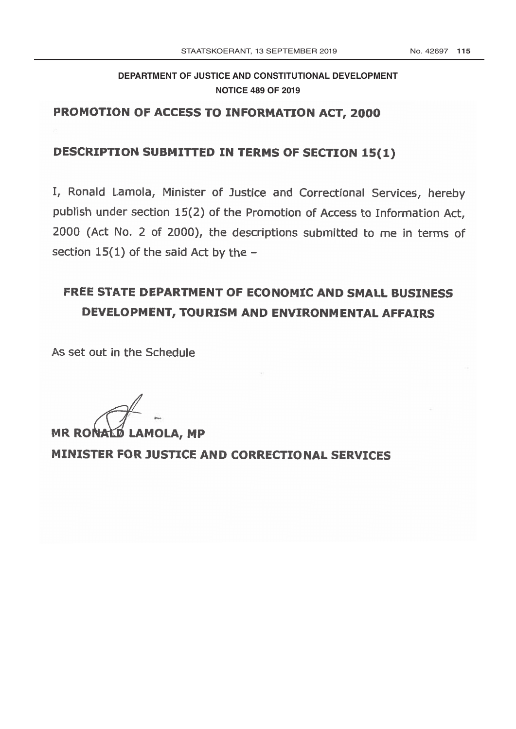## **[DEPARTMENT OF JUSTICE AND CONSTITUTIONAL DEVELOPMENT](http://www.greengazette.co.za/departments/justice) NOTICE 489 OF 2019**

# PROMOTION OF ACCESS TO INFORMATION ACT, 2000

## DESCRIPTION SUBMITTED IN TERMS OF SECTION 15(1)

I, Ronald Lamola, Minister of Justice and Correctional Services, hereby publish under section 15(2) of the Promotion of Access to Information Act, 2000 (Act No. 2 of 2000), the descriptions submitted to me in terms of section 15(1) of the said Act by the -

# FREE STATE DEPARTMENT OF ECONOMIC AND SMALL BUSINESS DEVELOPMENT, TOURISM AND ENVIRONMENTAL AFFAIRS

As set out in the Schedule

**MOLA, MP MR RONAKD LA MINISTER FOR JUSTICE AND CORRECTIONAL SERVICES**